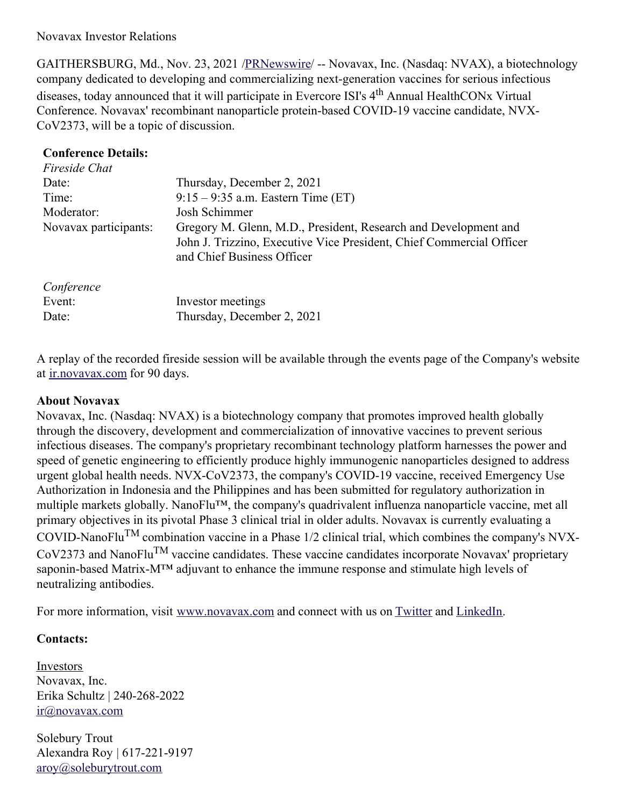Novavax Investor Relations

GAITHERSBURG, Md., Nov. 23, 2021 [/PRNewswire](http://www.prnewswire.com/)/ -- Novavax, Inc. (Nasdaq: NVAX), a biotechnology company dedicated to developing and commercializing next-generation vaccines for serious infectious diseases, today announced that it will participate in Evercore ISI's 4<sup>th</sup> Annual HealthCONx Virtual Conference. Novavax' recombinant nanoparticle protein-based COVID-19 vaccine candidate, NVX-CoV2373, will be a topic of discussion.

## **Conference Details:**

Event: Investor meetings

Date: Thursday, December 2, 2021

| Fireside Chat         |                                                                                                                                                                       |
|-----------------------|-----------------------------------------------------------------------------------------------------------------------------------------------------------------------|
| Date:                 | Thursday, December 2, 2021                                                                                                                                            |
| Time:                 | $9:15 - 9:35$ a.m. Eastern Time (ET)                                                                                                                                  |
| Moderator:            | Josh Schimmer                                                                                                                                                         |
| Novavax participants: | Gregory M. Glenn, M.D., President, Research and Development and<br>John J. Trizzino, Executive Vice President, Chief Commercial Officer<br>and Chief Business Officer |
| Conference            |                                                                                                                                                                       |

A replay of the recorded fireside session will be available through the events page of the Company's website at [ir.novavax.com](https://c212.net/c/link/?t=0&l=en&o=3368201-1&h=314217458&u=https%3A%2F%2Fir.novavax.com%2F&a=ir.novavax.com) for 90 days.

## **About Novavax**

Novavax, Inc. (Nasdaq: NVAX) is a biotechnology company that promotes improved health globally through the discovery, development and commercialization of innovative vaccines to prevent serious infectious diseases. The company's proprietary recombinant technology platform harnesses the power and speed of genetic engineering to efficiently produce highly immunogenic nanoparticles designed to address urgent global health needs. NVX-CoV2373, the company's COVID-19 vaccine, received Emergency Use Authorization in Indonesia and the Philippines and has been submitted for regulatory authorization in multiple markets globally. NanoFlu™, the company's quadrivalent influenza nanoparticle vaccine, met all primary objectives in its pivotal Phase 3 clinical trial in older adults. Novavax is currently evaluating a COVID-NanoFlu<sup>TM</sup> combination vaccine in a Phase  $1/2$  clinical trial, which combines the company's NVX-CoV2373 and NanoFlu<sup>TM</sup> vaccine candidates. These vaccine candidates incorporate Novavax' proprietary saponin-based Matrix-M™ adjuvant to enhance the immune response and stimulate high levels of neutralizing antibodies.

For more information, visit [www.novavax.com](https://c212.net/c/link/?t=0&l=en&o=3368201-1&h=2120078472&u=http%3A%2F%2Fwww.novavax.com%2F&a=www.novavax.com) and connect with us on [Twitter](https://c212.net/c/link/?t=0&l=en&o=3368201-1&h=2626776876&u=https%3A%2F%2Fc212.net%2Fc%2Flink%2F%3Ft%3D0%26l%3Den%26o%3D3158017-1%26h%3D500821283%26u%3Dhttps%253A%252F%252Ftwitter.com%252FNovavax%26a%3DTwitter&a=Twitter) and [LinkedIn](https://c212.net/c/link/?t=0&l=en&o=3368201-1&h=2332242159&u=https%3A%2F%2Fc212.net%2Fc%2Flink%2F%3Ft%3D0%26l%3Den%26o%3D3158017-1%26h%3D3702938248%26u%3Dhttps%253A%252F%252Fwww.linkedin.com%252Fcompany%252Fnovavax%252F%26a%3DLinkedIn&a=LinkedIn).

## **Contacts:**

Investors Novavax, Inc. Erika Schultz | 240-268-2022 [ir@novavax.com](mailto:ir@novavax.com)

Solebury Trout Alexandra Roy | 617-221-9197 [aroy@soleburytrout.com](mailto:aroy@soleburytrout.com)